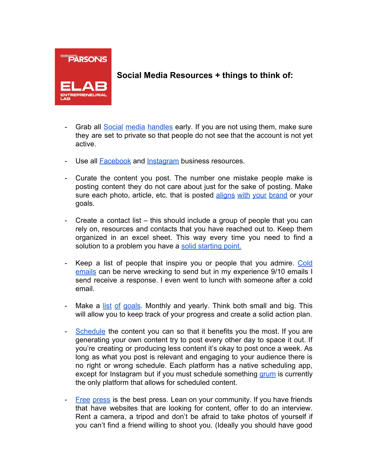

## **Social Media Resources + things to think of:**

- Grab all Social media [handles](http://mashable.com/2010/08/17/reserve-social-media-names/#LgyQ8M0JAkqm) early. If you are not using them, make sure they are set to private so that people do not see that the account is not yet active.
- Use all **Facebook** and **Instagram** business resources.
- Curate the content you post. The number one mistake people make is posting content they do not care about just for the sake of posting. Make sure each photo, article, etc. that is posted [aligns](https://blog.drumup.io/blog/how-to-curate-content-for-your-social-media-pages-to-boost-engagement-and-save-time/) with your brand or your goals.
- Create a contact list this should include a group of people that you can rely on, resources and contacts that you have reached out to. Keep them organized in an excel sheet. This way every time you need to find a solution to a problem you have a [solid starting point.](http://99u.com/articles/19852/the-complete-guide-to-organizing-your-contacts-building-quality-relationships)
- Keep a list of people that inspire you or people that you admire. [Cold](https://www.themuse.com/advice/4-tips-thatll-improve-the-odds-that-your-cold-emails-actually-get-read-and-responded-to) [emails](https://www.themuse.com/advice/4-tips-thatll-improve-the-odds-that-your-cold-emails-actually-get-read-and-responded-to) can be nerve wrecking to send but in my experience 9/10 emails I send receive a response. I even went to lunch with someone after a cold email.
- Make a list of [goals.](http://www.technori.com/2013/04/4259-the-most-effective-goal-setting-plan-youll-ever-find-2/) Monthly and yearly. Think both small and big. This will allow you to keep track of your progress and create a solid action plan.
- [Schedule](https://coschedule.com/blog/social-media-posting-schedule/) the content you can so that it benefits you the most. If you are generating your own content try to post every other day to space it out. If you're creating or producing less content it's okay to post once a week. As long as what you post is relevant and engaging to your audience there is no right or wrong schedule. Each platform has a native scheduling app, except for Instagram but if you must schedule something [grum](https://grum.co/) is currently the only platform that allows for scheduled content.
- Free [press](https://www.shopify.com/blog/15973132-hacking-the-press-clever-ways-to-get-free-press-coverage-with-zero-budget) is the best press. Lean on your community. If you have friends that have websites that are looking for content, offer to do an interview. Rent a camera, a tripod and don't be afraid to take photos of yourself if you can't find a friend willing to shoot you. (Ideally you should have good